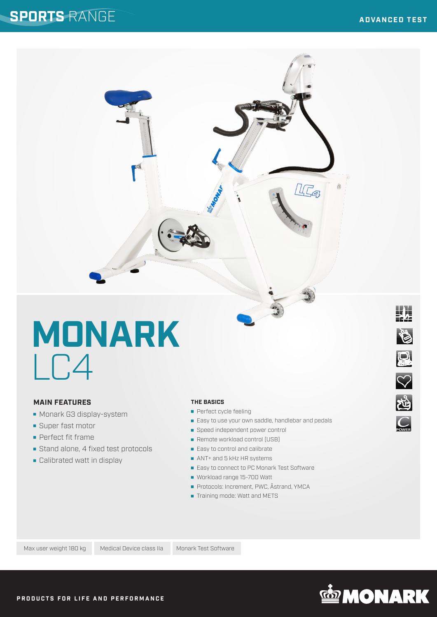业

惨

**OII** 8

 $C<sub>POWER</sub>$ 

# **MONARK**  $\overline{C}$

#### **MAIN FEATURES**

- **Monark G3 display-system**
- **Super fast motor**
- **Perfect fit frame**
- Stand alone, 4 fixed test protocols
- **Calibrated watt in display**

#### **THE BASICS**

- **Perfect cycle feeling**
- **Easy to use your own saddle, handlebar and pedals**

IC<sub>4</sub>

商

- Speed independent power control
- Remote workload control (USB)
- Easy to control and calibrate
- ANT+ and 5 kHz HR systems
- Easy to connect to PC Monark Test Software
- Workload range 15-700 Watt
- Protocols: Increment, PWC, Åstrand, YMCA
- **Training mode: Watt and METS**

Max user weight 180 kg Medical Device class IIa Monark Test Software